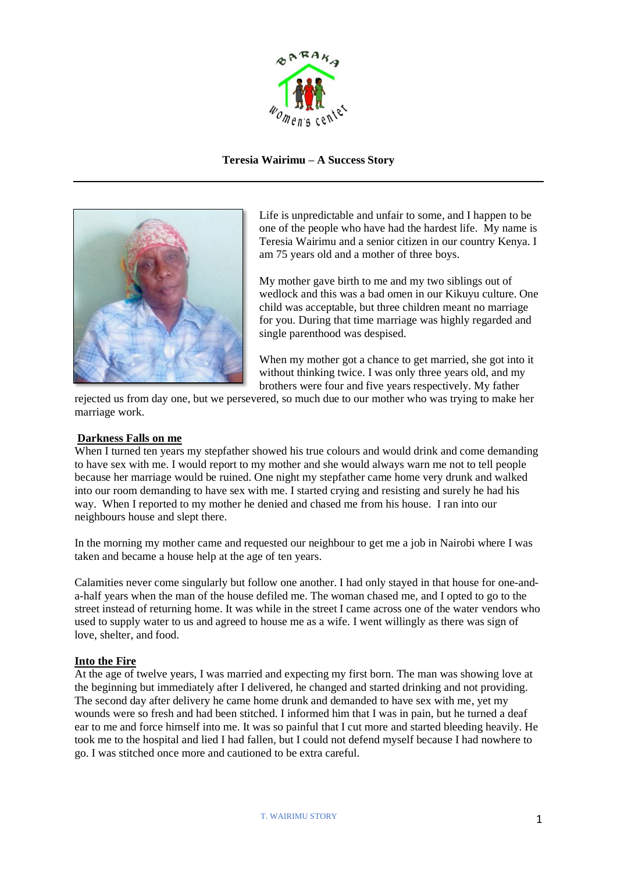

## **Teresia Wairimu – A Success Story**



Life is unpredictable and unfair to some, and I happen to be one of the people who have had the hardest life. My name is Teresia Wairimu and a senior citizen in our country Kenya. I am 75 years old and a mother of three boys.

My mother gave birth to me and my two siblings out of wedlock and this was a bad omen in our Kikuyu culture. One child was acceptable, but three children meant no marriage for you. During that time marriage was highly regarded and single parenthood was despised.

When my mother got a chance to get married, she got into it without thinking twice. I was only three years old, and my brothers were four and five years respectively. My father

rejected us from day one, but we persevered, so much due to our mother who was trying to make her marriage work.

## **Darkness Falls on me**

When I turned ten years my stepfather showed his true colours and would drink and come demanding to have sex with me. I would report to my mother and she would always warn me not to tell people because her marriage would be ruined. One night my stepfather came home very drunk and walked into our room demanding to have sex with me. I started crying and resisting and surely he had his way. When I reported to my mother he denied and chased me from his house. I ran into our neighbours house and slept there.

In the morning my mother came and requested our neighbour to get me a job in Nairobi where I was taken and became a house help at the age of ten years.

Calamities never come singularly but follow one another. I had only stayed in that house for one-anda-half years when the man of the house defiled me. The woman chased me, and I opted to go to the street instead of returning home. It was while in the street I came across one of the water vendors who used to supply water to us and agreed to house me as a wife. I went willingly as there was sign of love, shelter, and food.

## **Into the Fire**

At the age of twelve years, I was married and expecting my first born. The man was showing love at the beginning but immediately after I delivered, he changed and started drinking and not providing. The second day after delivery he came home drunk and demanded to have sex with me, yet my wounds were so fresh and had been stitched. I informed him that I was in pain, but he turned a deaf ear to me and force himself into me. It was so painful that I cut more and started bleeding heavily. He took me to the hospital and lied I had fallen, but I could not defend myself because I had nowhere to go. I was stitched once more and cautioned to be extra careful.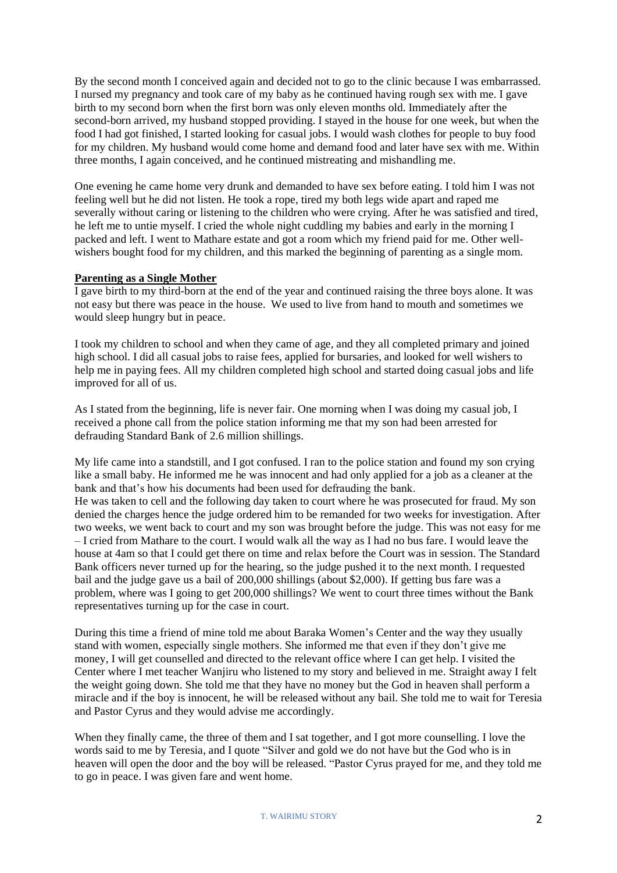By the second month I conceived again and decided not to go to the clinic because I was embarrassed. I nursed my pregnancy and took care of my baby as he continued having rough sex with me. I gave birth to my second born when the first born was only eleven months old. Immediately after the second-born arrived, my husband stopped providing. I stayed in the house for one week, but when the food I had got finished, I started looking for casual jobs. I would wash clothes for people to buy food for my children. My husband would come home and demand food and later have sex with me. Within three months, I again conceived, and he continued mistreating and mishandling me.

One evening he came home very drunk and demanded to have sex before eating. I told him I was not feeling well but he did not listen. He took a rope, tired my both legs wide apart and raped me severally without caring or listening to the children who were crying. After he was satisfied and tired, he left me to untie myself. I cried the whole night cuddling my babies and early in the morning I packed and left. I went to Mathare estate and got a room which my friend paid for me. Other wellwishers bought food for my children, and this marked the beginning of parenting as a single mom.

## **Parenting as a Single Mother**

I gave birth to my third-born at the end of the year and continued raising the three boys alone. It was not easy but there was peace in the house. We used to live from hand to mouth and sometimes we would sleep hungry but in peace.

I took my children to school and when they came of age, and they all completed primary and joined high school. I did all casual jobs to raise fees, applied for bursaries, and looked for well wishers to help me in paying fees. All my children completed high school and started doing casual jobs and life improved for all of us.

As I stated from the beginning, life is never fair. One morning when I was doing my casual job, I received a phone call from the police station informing me that my son had been arrested for defrauding Standard Bank of 2.6 million shillings.

My life came into a standstill, and I got confused. I ran to the police station and found my son crying like a small baby. He informed me he was innocent and had only applied for a job as a cleaner at the bank and that's how his documents had been used for defrauding the bank. He was taken to cell and the following day taken to court where he was prosecuted for fraud. My son denied the charges hence the judge ordered him to be remanded for two weeks for investigation. After two weeks, we went back to court and my son was brought before the judge. This was not easy for me – I cried from Mathare to the court. I would walk all the way as I had no bus fare. I would leave the house at 4am so that I could get there on time and relax before the Court was in session. The Standard Bank officers never turned up for the hearing, so the judge pushed it to the next month. I requested bail and the judge gave us a bail of 200,000 shillings (about \$2,000). If getting bus fare was a problem, where was I going to get 200,000 shillings? We went to court three times without the Bank representatives turning up for the case in court.

During this time a friend of mine told me about Baraka Women's Center and the way they usually stand with women, especially single mothers. She informed me that even if they don't give me money, I will get counselled and directed to the relevant office where I can get help. I visited the Center where I met teacher Wanjiru who listened to my story and believed in me. Straight away I felt the weight going down. She told me that they have no money but the God in heaven shall perform a miracle and if the boy is innocent, he will be released without any bail. She told me to wait for Teresia and Pastor Cyrus and they would advise me accordingly.

When they finally came, the three of them and I sat together, and I got more counselling. I love the words said to me by Teresia, and I quote "Silver and gold we do not have but the God who is in heaven will open the door and the boy will be released. "Pastor Cyrus prayed for me, and they told me to go in peace. I was given fare and went home.